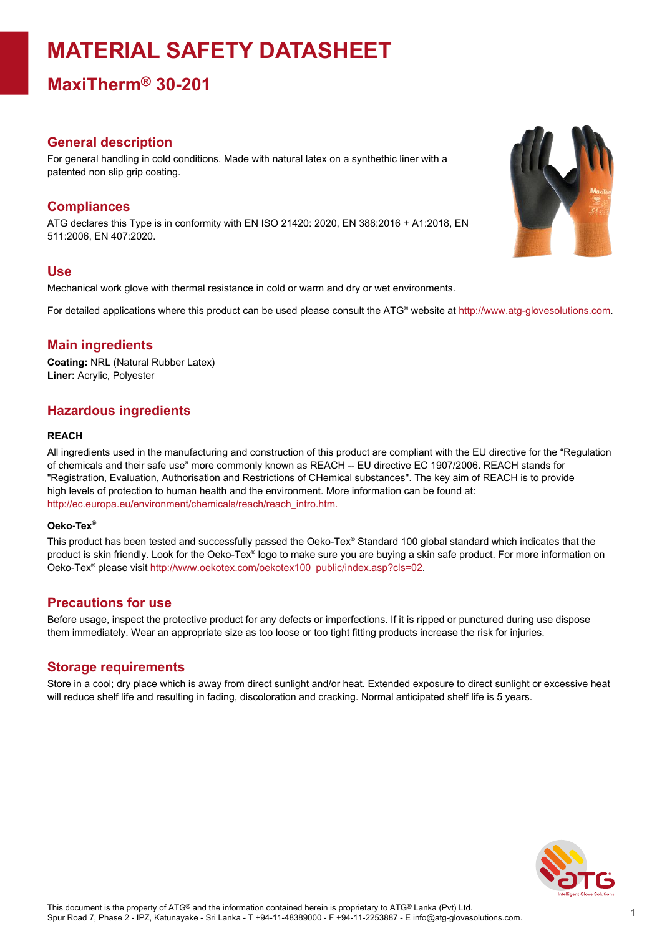# **MATERIAL SAFETY DATASHEET**

**MaxiTherm® 30-201**

## **General description**

For general handling in cold conditions. Made with natural latex on a synthethic liner with a patented non slip grip coating.

# **Compliances**

ATG declares this Type is in conformity with EN ISO 21420: 2020, EN 388:2016 + A1:2018, EN 511:2006, EN 407:2020.

# **Use**

Mechanical work glove with thermal resistance in cold or warm and dry or wet environments.

For detailed applications where this product can be used please consult the ATG® website at http://www.atg-glovesolutions.com.

# **Main ingredients**

**Coating:** NRL (Natural Rubber Latex) **Liner:** Acrylic, Polyester

# **Hazardous ingredients**

#### **REACH**

All ingredients used in the manufacturing and construction of this product are compliant with the EU directive for the "Regulation of chemicals and their safe use" more commonly known as REACH -- EU directive EC 1907/2006. REACH stands for "Registration, Evaluation, Authorisation and Restrictions of CHemical substances". The key aim of REACH is to provide high levels of protection to human health and the environment. More information can be found at: [http://ec.europa.eu/environment/chemicals/reach/reach\\_intro.htm.](http://ec.europa.eu/environment/chemicals/reach/reach_intro.htm.)

#### **Oeko-Tex ®**

This product has been tested and successfully passed the Oeko-Tex® Standard 100 global standard which indicates that the product is skin friendly. Look for the Oeko-Tex® logo to make sure you are buying a skin safe product. For more information on Oeko-Tex® please visit [http://www.oekotex.com/oekotex100\\_public/index.asp?cls=02.](http://www.oekotex.com/oekotex100_public/index.asp?cls=02)

### **Precautions for use**

Before usage, inspect the protective product for any defects or imperfections. If it is ripped or punctured during use dispose them immediately. Wear an appropriate size as too loose or too tight fitting products increase the risk for injuries.

### **Storage requirements**

Store in a cool; dry place which is away from direct sunlight and/or heat. Extended exposure to direct sunlight or excessive heat will reduce shelf life and resulting in fading, discoloration and cracking. Normal anticipated shelf life is 5 years.